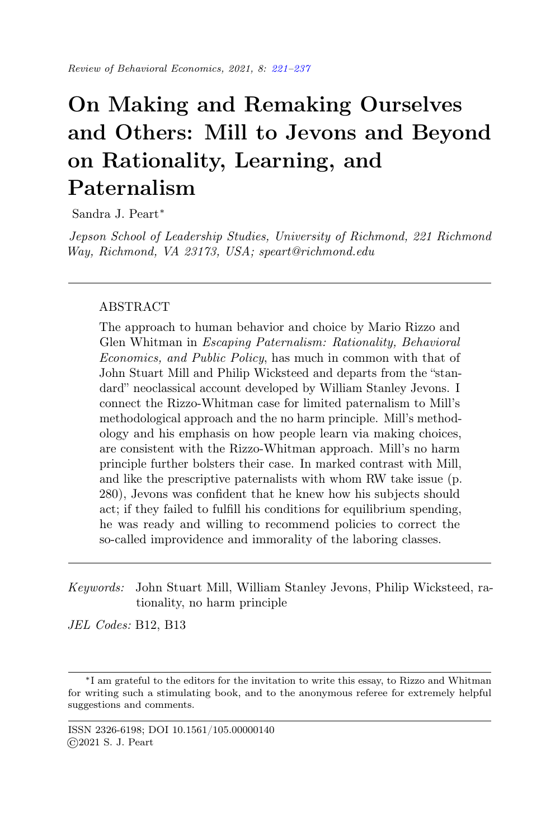# <span id="page-0-0"></span>On Making and Remaking Ourselves and Others: Mill to Jevons and Beyond on Rationality, Learning, and Paternalism

Sandra J. Peart<sup>∗</sup>

Jepson School of Leadership Studies, University of Richmond, 221 Richmond Way, Richmond, VA 23173, USA; speart@richmond.edu

## ABSTRACT

The approach to human behavior and choice by Mario Rizzo and Glen Whitman in Escaping Paternalism: Rationality, Behavioral Economics, and Public Policy, has much in common with that of John Stuart Mill and Philip Wicksteed and departs from the "standard" neoclassical account developed by William Stanley Jevons. I connect the Rizzo-Whitman case for limited paternalism to Mill's methodological approach and the no harm principle. Mill's methodology and his emphasis on how people learn via making choices, are consistent with the Rizzo-Whitman approach. Mill's no harm principle further bolsters their case. In marked contrast with Mill, and like the prescriptive paternalists with whom RW take issue (p. 280), Jevons was confident that he knew how his subjects should act; if they failed to fulfill his conditions for equilibrium spending, he was ready and willing to recommend policies to correct the so-called improvidence and immorality of the laboring classes.

Keywords: John Stuart Mill, William Stanley Jevons, Philip Wicksteed, rationality, no harm principle

JEL Codes: B12, B13

<sup>∗</sup> I am grateful to the editors for the invitation to write this essay, to Rizzo and Whitman for writing such a stimulating book, and to the anonymous referee for extremely helpful suggestions and comments.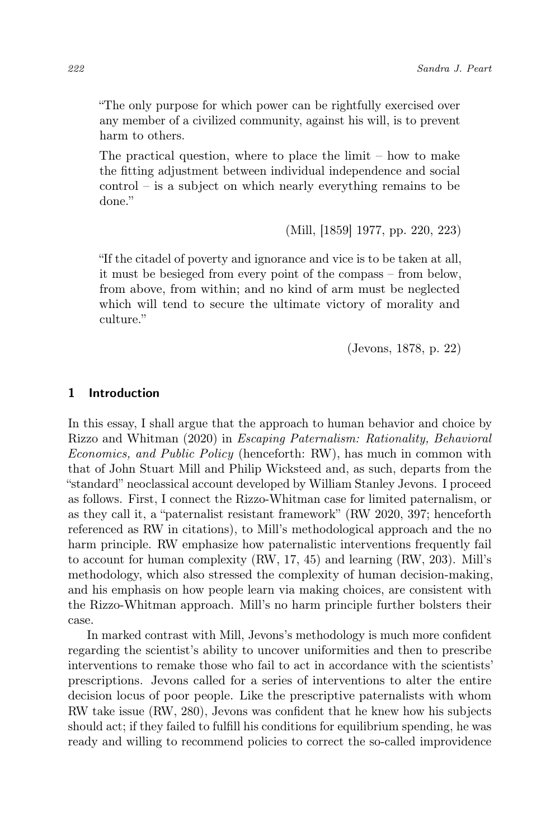"The only purpose for which power can be rightfully exercised over any member of a civilized community, against his will, is to prevent harm to others.

The practical question, where to place the limit – how to make the fitting adjustment between individual independence and social control – is a subject on which nearly everything remains to be done."

(Mill, [1859] 1977, pp. 220, 223)

"If the citadel of poverty and ignorance and vice is to be taken at all, it must be besieged from every point of the compass – from below, from above, from within; and no kind of arm must be neglected which will tend to secure the ultimate victory of morality and culture."

(Jevons, 1878, p. 22)

#### 1 Introduction

In this essay, I shall argue that the approach to human behavior and choice by Rizzo and Whitman (2020) in Escaping Paternalism: Rationality, Behavioral Economics, and Public Policy (henceforth: RW), has much in common with that of John Stuart Mill and Philip Wicksteed and, as such, departs from the "standard" neoclassical account developed by William Stanley Jevons. I proceed as follows. First, I connect the Rizzo-Whitman case for limited paternalism, or as they call it, a "paternalist resistant framework" (RW 2020, 397; henceforth referenced as RW in citations), to Mill's methodological approach and the no harm principle. RW emphasize how paternalistic interventions frequently fail to account for human complexity (RW, 17, 45) and learning (RW, 203). Mill's methodology, which also stressed the complexity of human decision-making, and his emphasis on how people learn via making choices, are consistent with the Rizzo-Whitman approach. Mill's no harm principle further bolsters their case.

In marked contrast with Mill, Jevons's methodology is much more confident regarding the scientist's ability to uncover uniformities and then to prescribe interventions to remake those who fail to act in accordance with the scientists' prescriptions. Jevons called for a series of interventions to alter the entire decision locus of poor people. Like the prescriptive paternalists with whom RW take issue (RW, 280), Jevons was confident that he knew how his subjects should act; if they failed to fulfill his conditions for equilibrium spending, he was ready and willing to recommend policies to correct the so-called improvidence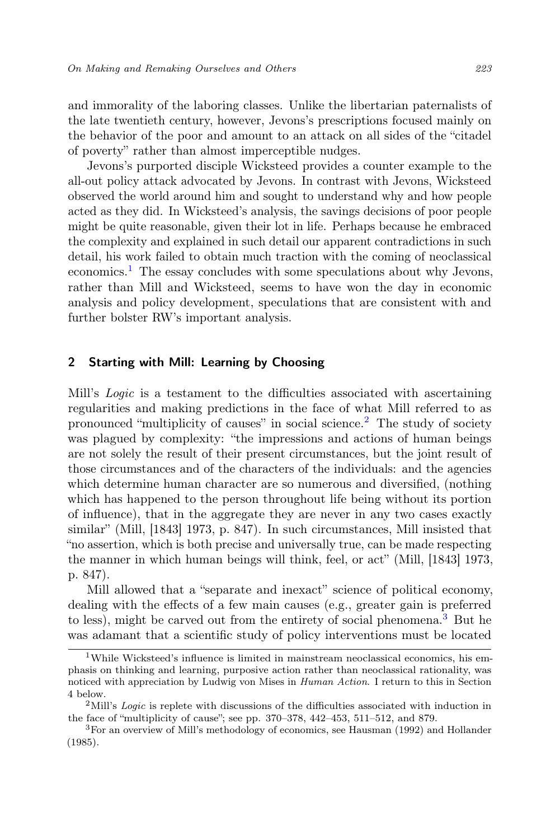and immorality of the laboring classes. Unlike the libertarian paternalists of the late twentieth century, however, Jevons's prescriptions focused mainly on the behavior of the poor and amount to an attack on all sides of the "citadel of poverty" rather than almost imperceptible nudges.

Jevons's purported disciple Wicksteed provides a counter example to the all-out policy attack advocated by Jevons. In contrast with Jevons, Wicksteed observed the world around him and sought to understand why and how people acted as they did. In Wicksteed's analysis, the savings decisions of poor people might be quite reasonable, given their lot in life. Perhaps because he embraced the complexity and explained in such detail our apparent contradictions in such detail, his work failed to obtain much traction with the coming of neoclassical economics.[1](#page-2-0) The essay concludes with some speculations about why Jevons, rather than Mill and Wicksteed, seems to have won the day in economic analysis and policy development, speculations that are consistent with and further bolster RW's important analysis.

## 2 Starting with Mill: Learning by Choosing

Mill's Logic is a testament to the difficulties associated with ascertaining regularities and making predictions in the face of what Mill referred to as pronounced "multiplicity of causes" in social science.<sup>[2](#page-2-1)</sup> The study of society was plagued by complexity: "the impressions and actions of human beings are not solely the result of their present circumstances, but the joint result of those circumstances and of the characters of the individuals: and the agencies which determine human character are so numerous and diversified, (nothing which has happened to the person throughout life being without its portion of influence), that in the aggregate they are never in any two cases exactly similar" (Mill, [1843] 1973, p. 847). In such circumstances, Mill insisted that "no assertion, which is both precise and universally true, can be made respecting the manner in which human beings will think, feel, or act" (Mill, [1843] 1973, p. 847).

Mill allowed that a "separate and inexact" science of political economy, dealing with the effects of a few main causes (e.g., greater gain is preferred to less), might be carved out from the entirety of social phenomena.[3](#page-2-2) But he was adamant that a scientific study of policy interventions must be located

<span id="page-2-0"></span><sup>&</sup>lt;sup>1</sup>While Wicksteed's influence is limited in mainstream neoclassical economics, his emphasis on thinking and learning, purposive action rather than neoclassical rationality, was noticed with appreciation by Ludwig von Mises in Human Action. I return to this in Section 4 below.

<span id="page-2-1"></span><sup>&</sup>lt;sup>2</sup>Mill's Logic is replete with discussions of the difficulties associated with induction in the face of "multiplicity of cause"; see pp. 370–378, 442–453, 511–512, and 879.

<span id="page-2-2"></span><sup>3</sup>For an overview of Mill's methodology of economics, see Hausman (1992) and Hollander (1985).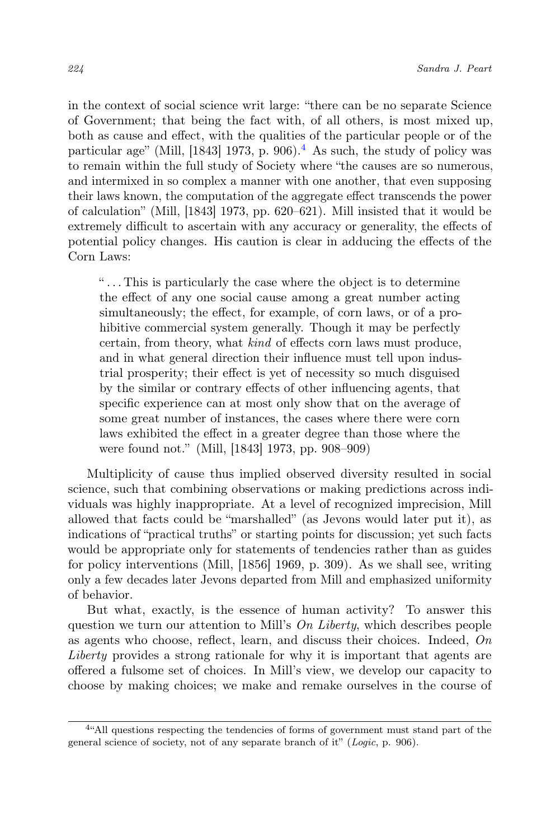in the context of social science writ large: "there can be no separate Science of Government; that being the fact with, of all others, is most mixed up, both as cause and effect, with the qualities of the particular people or of the particular age" (Mill, [18[4](#page-3-0)3] 1973, p. 906).<sup>4</sup> As such, the study of policy was to remain within the full study of Society where "the causes are so numerous, and intermixed in so complex a manner with one another, that even supposing their laws known, the computation of the aggregate effect transcends the power of calculation" (Mill, [1843] 1973, pp. 620–621). Mill insisted that it would be extremely difficult to ascertain with any accuracy or generality, the effects of potential policy changes. His caution is clear in adducing the effects of the Corn Laws:

" . . . This is particularly the case where the object is to determine the effect of any one social cause among a great number acting simultaneously; the effect, for example, of corn laws, or of a prohibitive commercial system generally. Though it may be perfectly certain, from theory, what kind of effects corn laws must produce, and in what general direction their influence must tell upon industrial prosperity; their effect is yet of necessity so much disguised by the similar or contrary effects of other influencing agents, that specific experience can at most only show that on the average of some great number of instances, the cases where there were corn laws exhibited the effect in a greater degree than those where the were found not." (Mill, [1843] 1973, pp. 908–909)

Multiplicity of cause thus implied observed diversity resulted in social science, such that combining observations or making predictions across individuals was highly inappropriate. At a level of recognized imprecision, Mill allowed that facts could be "marshalled" (as Jevons would later put it), as indications of "practical truths" or starting points for discussion; yet such facts would be appropriate only for statements of tendencies rather than as guides for policy interventions (Mill, [1856] 1969, p. 309). As we shall see, writing only a few decades later Jevons departed from Mill and emphasized uniformity of behavior.

But what, exactly, is the essence of human activity? To answer this question we turn our attention to Mill's On Liberty, which describes people as agents who choose, reflect, learn, and discuss their choices. Indeed,  $On$ Liberty provides a strong rationale for why it is important that agents are offered a fulsome set of choices. In Mill's view, we develop our capacity to choose by making choices; we make and remake ourselves in the course of

<span id="page-3-0"></span><sup>&</sup>lt;sup>4"</sup>All questions respecting the tendencies of forms of government must stand part of the general science of society, not of any separate branch of it" (Logic, p. 906).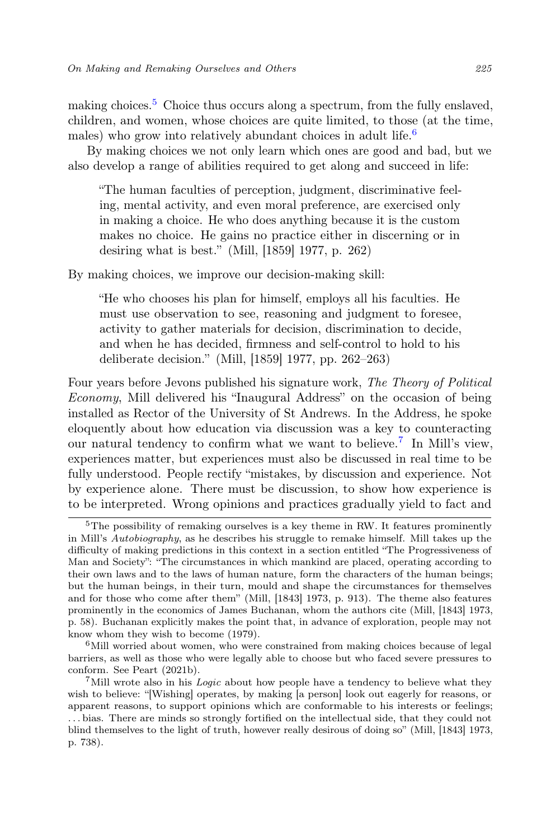making choices.<sup>[5](#page-4-0)</sup> Choice thus occurs along a spectrum, from the fully enslaved, children, and women, whose choices are quite limited, to those (at the time, males) who grow into relatively abundant choices in adult life.<sup>[6](#page-4-1)</sup>

By making choices we not only learn which ones are good and bad, but we also develop a range of abilities required to get along and succeed in life:

"The human faculties of perception, judgment, discriminative feeling, mental activity, and even moral preference, are exercised only in making a choice. He who does anything because it is the custom makes no choice. He gains no practice either in discerning or in desiring what is best." (Mill, [1859] 1977, p. 262)

By making choices, we improve our decision-making skill:

"He who chooses his plan for himself, employs all his faculties. He must use observation to see, reasoning and judgment to foresee, activity to gather materials for decision, discrimination to decide, and when he has decided, firmness and self-control to hold to his deliberate decision." (Mill, [1859] 1977, pp. 262–263)

Four years before Jevons published his signature work, The Theory of Political Economy, Mill delivered his "Inaugural Address" on the occasion of being installed as Rector of the University of St Andrews. In the Address, he spoke eloquently about how education via discussion was a key to counteracting our natural tendency to confirm what we want to believe.[7](#page-4-2) In Mill's view, experiences matter, but experiences must also be discussed in real time to be fully understood. People rectify "mistakes, by discussion and experience. Not by experience alone. There must be discussion, to show how experience is to be interpreted. Wrong opinions and practices gradually yield to fact and

<span id="page-4-0"></span><sup>&</sup>lt;sup>5</sup>The possibility of remaking ourselves is a key theme in RW. It features prominently in Mill's Autobiography, as he describes his struggle to remake himself. Mill takes up the difficulty of making predictions in this context in a section entitled "The Progressiveness of Man and Society": "The circumstances in which mankind are placed, operating according to their own laws and to the laws of human nature, form the characters of the human beings; but the human beings, in their turn, mould and shape the circumstances for themselves and for those who come after them" (Mill, [1843] 1973, p. 913). The theme also features prominently in the economics of James Buchanan, whom the authors cite (Mill, [1843] 1973, p. 58). Buchanan explicitly makes the point that, in advance of exploration, people may not know whom they wish to become (1979).

<span id="page-4-1"></span> $6$ Mill worried about women, who were constrained from making choices because of legal barriers, as well as those who were legally able to choose but who faced severe pressures to conform. See Peart (2021b).

<span id="page-4-2"></span> $7$ Mill wrote also in his *Logic* about how people have a tendency to believe what they wish to believe: "[Wishing] operates, by making [a person] look out eagerly for reasons, or apparent reasons, to support opinions which are conformable to his interests or feelings; . . . bias. There are minds so strongly fortified on the intellectual side, that they could not blind themselves to the light of truth, however really desirous of doing so" (Mill, [1843] 1973, p. 738).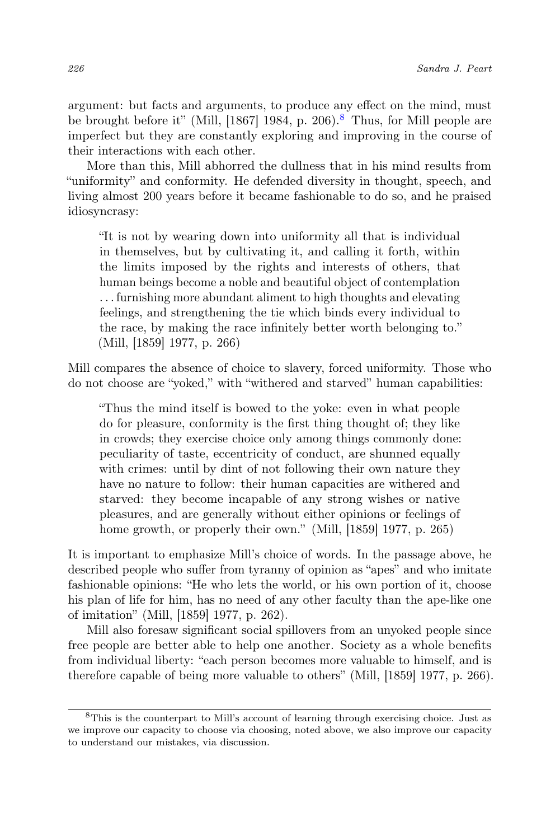argument: but facts and arguments, to produce any effect on the mind, must be brought before it" (Mill, [1[8](#page-5-0)67] 1984, p. 206).<sup>8</sup> Thus, for Mill people are imperfect but they are constantly exploring and improving in the course of their interactions with each other.

More than this, Mill abhorred the dullness that in his mind results from "uniformity" and conformity. He defended diversity in thought, speech, and living almost 200 years before it became fashionable to do so, and he praised idiosyncrasy:

"It is not by wearing down into uniformity all that is individual in themselves, but by cultivating it, and calling it forth, within the limits imposed by the rights and interests of others, that human beings become a noble and beautiful object of contemplation . . . furnishing more abundant aliment to high thoughts and elevating feelings, and strengthening the tie which binds every individual to the race, by making the race infinitely better worth belonging to." (Mill, [1859] 1977, p. 266)

Mill compares the absence of choice to slavery, forced uniformity. Those who do not choose are "yoked," with "withered and starved" human capabilities:

"Thus the mind itself is bowed to the yoke: even in what people do for pleasure, conformity is the first thing thought of; they like in crowds; they exercise choice only among things commonly done: peculiarity of taste, eccentricity of conduct, are shunned equally with crimes: until by dint of not following their own nature they have no nature to follow: their human capacities are withered and starved: they become incapable of any strong wishes or native pleasures, and are generally without either opinions or feelings of home growth, or properly their own." (Mill, [1859] 1977, p. 265)

It is important to emphasize Mill's choice of words. In the passage above, he described people who suffer from tyranny of opinion as "apes" and who imitate fashionable opinions: "He who lets the world, or his own portion of it, choose his plan of life for him, has no need of any other faculty than the ape-like one of imitation" (Mill, [1859] 1977, p. 262).

Mill also foresaw significant social spillovers from an unyoked people since free people are better able to help one another. Society as a whole benefits from individual liberty: "each person becomes more valuable to himself, and is therefore capable of being more valuable to others" (Mill, [1859] 1977, p. 266).

<span id="page-5-0"></span><sup>8</sup>This is the counterpart to Mill's account of learning through exercising choice. Just as we improve our capacity to choose via choosing, noted above, we also improve our capacity to understand our mistakes, via discussion.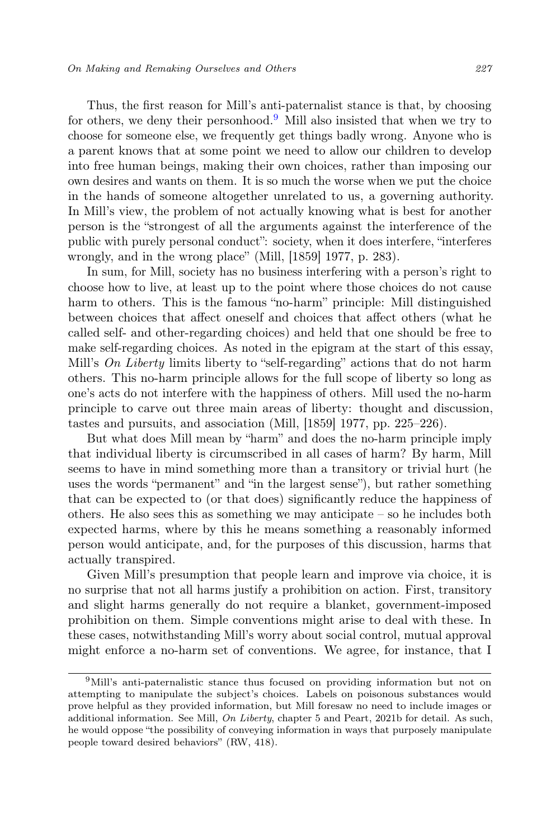Thus, the first reason for Mill's anti-paternalist stance is that, by choosing for others, we deny their personhood.<sup>[9](#page-6-0)</sup> Mill also insisted that when we try to choose for someone else, we frequently get things badly wrong. Anyone who is a parent knows that at some point we need to allow our children to develop into free human beings, making their own choices, rather than imposing our own desires and wants on them. It is so much the worse when we put the choice in the hands of someone altogether unrelated to us, a governing authority. In Mill's view, the problem of not actually knowing what is best for another person is the "strongest of all the arguments against the interference of the public with purely personal conduct": society, when it does interfere, "interferes wrongly, and in the wrong place" (Mill, [1859] 1977, p. 283).

In sum, for Mill, society has no business interfering with a person's right to choose how to live, at least up to the point where those choices do not cause harm to others. This is the famous "no-harm" principle: Mill distinguished between choices that affect oneself and choices that affect others (what he called self- and other-regarding choices) and held that one should be free to make self-regarding choices. As noted in the epigram at the start of this essay, Mill's On Liberty limits liberty to "self-regarding" actions that do not harm others. This no-harm principle allows for the full scope of liberty so long as one's acts do not interfere with the happiness of others. Mill used the no-harm principle to carve out three main areas of liberty: thought and discussion, tastes and pursuits, and association (Mill, [1859] 1977, pp. 225–226).

But what does Mill mean by "harm" and does the no-harm principle imply that individual liberty is circumscribed in all cases of harm? By harm, Mill seems to have in mind something more than a transitory or trivial hurt (he uses the words "permanent" and "in the largest sense"), but rather something that can be expected to (or that does) significantly reduce the happiness of others. He also sees this as something we may anticipate – so he includes both expected harms, where by this he means something a reasonably informed person would anticipate, and, for the purposes of this discussion, harms that actually transpired.

Given Mill's presumption that people learn and improve via choice, it is no surprise that not all harms justify a prohibition on action. First, transitory and slight harms generally do not require a blanket, government-imposed prohibition on them. Simple conventions might arise to deal with these. In these cases, notwithstanding Mill's worry about social control, mutual approval might enforce a no-harm set of conventions. We agree, for instance, that I

<span id="page-6-0"></span><sup>&</sup>lt;sup>9</sup>Mill's anti-paternalistic stance thus focused on providing information but not on attempting to manipulate the subject's choices. Labels on poisonous substances would prove helpful as they provided information, but Mill foresaw no need to include images or additional information. See Mill, On Liberty, chapter 5 and Peart, 2021b for detail. As such, he would oppose "the possibility of conveying information in ways that purposely manipulate people toward desired behaviors" (RW, 418).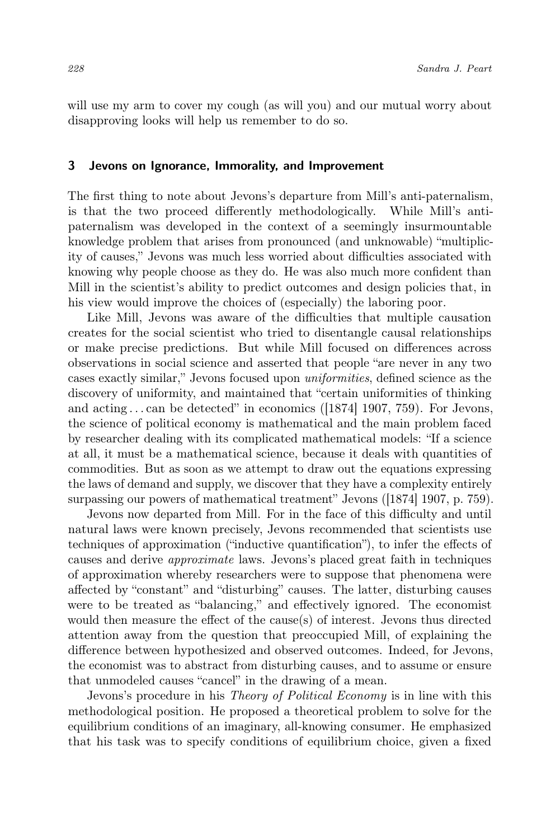will use my arm to cover my cough (as will you) and our mutual worry about disapproving looks will help us remember to do so.

### 3 Jevons on Ignorance, Immorality, and Improvement

The first thing to note about Jevons's departure from Mill's anti-paternalism, is that the two proceed differently methodologically. While Mill's antipaternalism was developed in the context of a seemingly insurmountable knowledge problem that arises from pronounced (and unknowable) "multiplicity of causes," Jevons was much less worried about difficulties associated with knowing why people choose as they do. He was also much more confident than Mill in the scientist's ability to predict outcomes and design policies that, in his view would improve the choices of (especially) the laboring poor.

Like Mill, Jevons was aware of the difficulties that multiple causation creates for the social scientist who tried to disentangle causal relationships or make precise predictions. But while Mill focused on differences across observations in social science and asserted that people "are never in any two cases exactly similar," Jevons focused upon uniformities, defined science as the discovery of uniformity, and maintained that "certain uniformities of thinking and acting  $\dots$  can be detected" in economics ([1874] 1907, 759). For Jevons, the science of political economy is mathematical and the main problem faced by researcher dealing with its complicated mathematical models: "If a science at all, it must be a mathematical science, because it deals with quantities of commodities. But as soon as we attempt to draw out the equations expressing the laws of demand and supply, we discover that they have a complexity entirely surpassing our powers of mathematical treatment" Jevons ([1874] 1907, p. 759).

Jevons now departed from Mill. For in the face of this difficulty and until natural laws were known precisely, Jevons recommended that scientists use techniques of approximation ("inductive quantification"), to infer the effects of causes and derive approximate laws. Jevons's placed great faith in techniques of approximation whereby researchers were to suppose that phenomena were affected by "constant" and "disturbing" causes. The latter, disturbing causes were to be treated as "balancing," and effectively ignored. The economist would then measure the effect of the cause(s) of interest. Jevons thus directed attention away from the question that preoccupied Mill, of explaining the difference between hypothesized and observed outcomes. Indeed, for Jevons, the economist was to abstract from disturbing causes, and to assume or ensure that unmodeled causes "cancel" in the drawing of a mean.

Jevons's procedure in his Theory of Political Economy is in line with this methodological position. He proposed a theoretical problem to solve for the equilibrium conditions of an imaginary, all-knowing consumer. He emphasized that his task was to specify conditions of equilibrium choice, given a fixed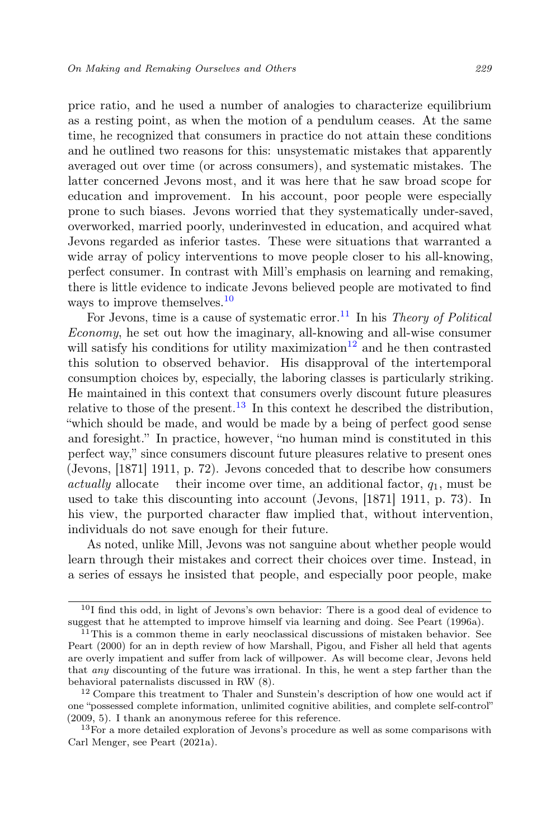price ratio, and he used a number of analogies to characterize equilibrium as a resting point, as when the motion of a pendulum ceases. At the same time, he recognized that consumers in practice do not attain these conditions and he outlined two reasons for this: unsystematic mistakes that apparently averaged out over time (or across consumers), and systematic mistakes. The latter concerned Jevons most, and it was here that he saw broad scope for education and improvement. In his account, poor people were especially prone to such biases. Jevons worried that they systematically under-saved, overworked, married poorly, underinvested in education, and acquired what Jevons regarded as inferior tastes. These were situations that warranted a wide array of policy interventions to move people closer to his all-knowing, perfect consumer. In contrast with Mill's emphasis on learning and remaking, there is little evidence to indicate Jevons believed people are motivated to find ways to improve themselves.<sup>[10](#page-8-0)</sup>

For Jevons, time is a cause of systematic error.<sup>[11](#page-8-1)</sup> In his Theory of Political Economy, he set out how the imaginary, all-knowing and all-wise consumer will satisfy his conditions for utility maximization<sup>[12](#page-8-2)</sup> and he then contrasted this solution to observed behavior. His disapproval of the intertemporal consumption choices by, especially, the laboring classes is particularly striking. He maintained in this context that consumers overly discount future pleasures relative to those of the present.<sup>[13](#page-8-3)</sup> In this context he described the distribution, "which should be made, and would be made by a being of perfect good sense and foresight." In practice, however, "no human mind is constituted in this perfect way," since consumers discount future pleasures relative to present ones (Jevons, [1871] 1911, p. 72). Jevons conceded that to describe how consumers actually allocate their income over time, an additional factor,  $q_1$ , must be used to take this discounting into account (Jevons, [1871] 1911, p. 73). In his view, the purported character flaw implied that, without intervention, individuals do not save enough for their future.

As noted, unlike Mill, Jevons was not sanguine about whether people would learn through their mistakes and correct their choices over time. Instead, in a series of essays he insisted that people, and especially poor people, make

<span id="page-8-0"></span><sup>10</sup>I find this odd, in light of Jevons's own behavior: There is a good deal of evidence to suggest that he attempted to improve himself via learning and doing. See Peart (1996a).

<span id="page-8-1"></span><sup>&</sup>lt;sup>11</sup>This is a common theme in early neoclassical discussions of mistaken behavior. See Peart (2000) for an in depth review of how Marshall, Pigou, and Fisher all held that agents are overly impatient and suffer from lack of willpower. As will become clear, Jevons held that any discounting of the future was irrational. In this, he went a step farther than the behavioral paternalists discussed in RW (8).

<span id="page-8-2"></span><sup>&</sup>lt;sup>12</sup> Compare this treatment to Thaler and Sunstein's description of how one would act if one "possessed complete information, unlimited cognitive abilities, and complete self-control" (2009, 5). I thank an anonymous referee for this reference.

<span id="page-8-3"></span><sup>&</sup>lt;sup>13</sup>For a more detailed exploration of Jevons's procedure as well as some comparisons with Carl Menger, see Peart (2021a).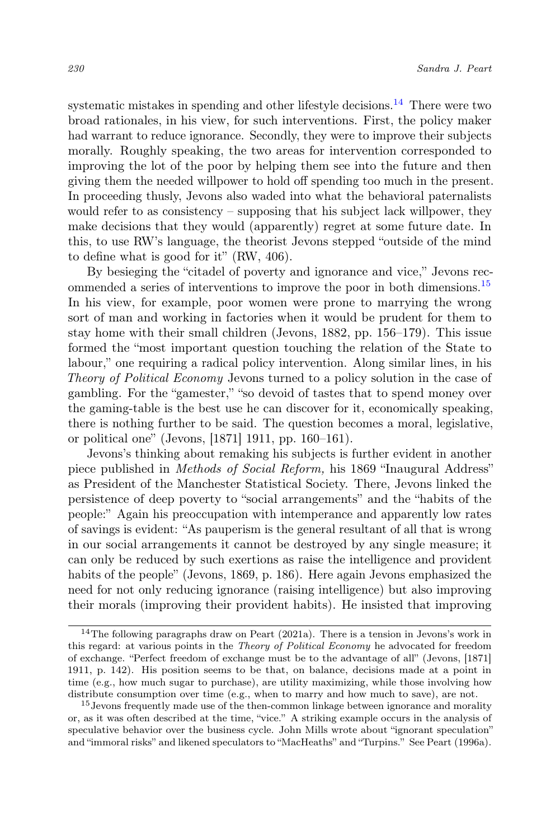systematic mistakes in spending and other lifestyle decisions.<sup>[14](#page-9-0)</sup> There were two broad rationales, in his view, for such interventions. First, the policy maker had warrant to reduce ignorance. Secondly, they were to improve their subjects morally. Roughly speaking, the two areas for intervention corresponded to improving the lot of the poor by helping them see into the future and then giving them the needed willpower to hold off spending too much in the present. In proceeding thusly, Jevons also waded into what the behavioral paternalists would refer to as consistency – supposing that his subject lack willpower, they make decisions that they would (apparently) regret at some future date. In this, to use RW's language, the theorist Jevons stepped "outside of the mind to define what is good for it" (RW, 406).

By besieging the "citadel of poverty and ignorance and vice," Jevons rec-ommended a series of interventions to improve the poor in both dimensions.<sup>[15](#page-9-1)</sup> In his view, for example, poor women were prone to marrying the wrong sort of man and working in factories when it would be prudent for them to stay home with their small children (Jevons, 1882, pp. 156–179). This issue formed the "most important question touching the relation of the State to labour," one requiring a radical policy intervention. Along similar lines, in his Theory of Political Economy Jevons turned to a policy solution in the case of gambling. For the "gamester," "so devoid of tastes that to spend money over the gaming-table is the best use he can discover for it, economically speaking, there is nothing further to be said. The question becomes a moral, legislative, or political one" (Jevons, [1871] 1911, pp. 160–161).

Jevons's thinking about remaking his subjects is further evident in another piece published in Methods of Social Reform, his 1869 "Inaugural Address" as President of the Manchester Statistical Society. There, Jevons linked the persistence of deep poverty to "social arrangements" and the "habits of the people:" Again his preoccupation with intemperance and apparently low rates of savings is evident: "As pauperism is the general resultant of all that is wrong in our social arrangements it cannot be destroyed by any single measure; it can only be reduced by such exertions as raise the intelligence and provident habits of the people" (Jevons, 1869, p. 186). Here again Jevons emphasized the need for not only reducing ignorance (raising intelligence) but also improving their morals (improving their provident habits). He insisted that improving

<span id="page-9-0"></span> $14$ The following paragraphs draw on Peart (2021a). There is a tension in Jevons's work in this regard: at various points in the Theory of Political Economy he advocated for freedom of exchange. "Perfect freedom of exchange must be to the advantage of all" (Jevons, [1871] 1911, p. 142). His position seems to be that, on balance, decisions made at a point in time (e.g., how much sugar to purchase), are utility maximizing, while those involving how distribute consumption over time (e.g., when to marry and how much to save), are not.

<span id="page-9-1"></span><sup>&</sup>lt;sup>15</sup> Jevons frequently made use of the then-common linkage between ignorance and morality or, as it was often described at the time, "vice." A striking example occurs in the analysis of speculative behavior over the business cycle. John Mills wrote about "ignorant speculation" and "immoral risks" and likened speculators to "MacHeaths" and "Turpins." See Peart (1996a).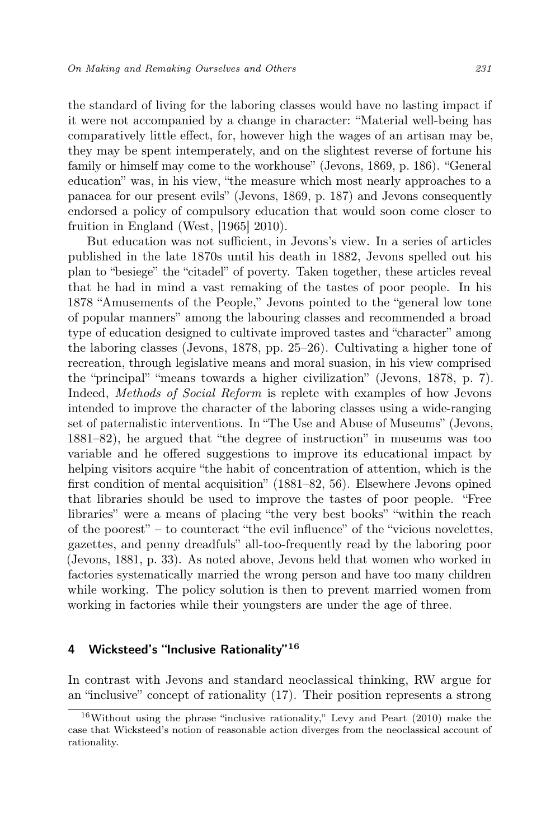the standard of living for the laboring classes would have no lasting impact if it were not accompanied by a change in character: "Material well-being has comparatively little effect, for, however high the wages of an artisan may be, they may be spent intemperately, and on the slightest reverse of fortune his family or himself may come to the workhouse" (Jevons, 1869, p. 186). "General education" was, in his view, "the measure which most nearly approaches to a panacea for our present evils" (Jevons, 1869, p. 187) and Jevons consequently endorsed a policy of compulsory education that would soon come closer to fruition in England (West, [1965] 2010).

But education was not sufficient, in Jevons's view. In a series of articles published in the late 1870s until his death in 1882, Jevons spelled out his plan to "besiege" the "citadel" of poverty. Taken together, these articles reveal that he had in mind a vast remaking of the tastes of poor people. In his 1878 "Amusements of the People," Jevons pointed to the "general low tone of popular manners" among the labouring classes and recommended a broad type of education designed to cultivate improved tastes and "character" among the laboring classes (Jevons, 1878, pp. 25–26). Cultivating a higher tone of recreation, through legislative means and moral suasion, in his view comprised the "principal" "means towards a higher civilization" (Jevons, 1878, p. 7). Indeed, Methods of Social Reform is replete with examples of how Jevons intended to improve the character of the laboring classes using a wide-ranging set of paternalistic interventions. In "The Use and Abuse of Museums" (Jevons, 1881–82), he argued that "the degree of instruction" in museums was too variable and he offered suggestions to improve its educational impact by helping visitors acquire "the habit of concentration of attention, which is the first condition of mental acquisition" (1881–82, 56). Elsewhere Jevons opined that libraries should be used to improve the tastes of poor people. "Free libraries" were a means of placing "the very best books" "within the reach of the poorest" – to counteract "the evil influence" of the "vicious novelettes, gazettes, and penny dreadfuls" all-too-frequently read by the laboring poor (Jevons, 1881, p. 33). As noted above, Jevons held that women who worked in factories systematically married the wrong person and have too many children while working. The policy solution is then to prevent married women from working in factories while their youngsters are under the age of three.

#### 4 Wicksteed's "Inclusive Rationality" $16$

In contrast with Jevons and standard neoclassical thinking, RW argue for an "inclusive" concept of rationality (17). Their position represents a strong

 $16$ Without using the phrase "inclusive rationality," Levy and Peart (2010) make the case that Wicksteed's notion of reasonable action diverges from the neoclassical account of rationality.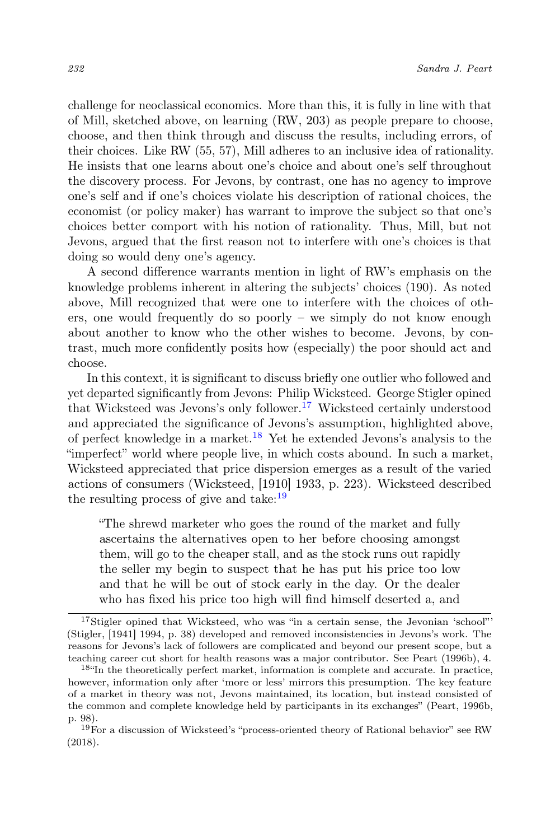challenge for neoclassical economics. More than this, it is fully in line with that of Mill, sketched above, on learning (RW, 203) as people prepare to choose, choose, and then think through and discuss the results, including errors, of their choices. Like RW (55, 57), Mill adheres to an inclusive idea of rationality. He insists that one learns about one's choice and about one's self throughout the discovery process. For Jevons, by contrast, one has no agency to improve one's self and if one's choices violate his description of rational choices, the economist (or policy maker) has warrant to improve the subject so that one's choices better comport with his notion of rationality. Thus, Mill, but not Jevons, argued that the first reason not to interfere with one's choices is that doing so would deny one's agency.

A second difference warrants mention in light of RW's emphasis on the knowledge problems inherent in altering the subjects' choices (190). As noted above, Mill recognized that were one to interfere with the choices of others, one would frequently do so poorly – we simply do not know enough about another to know who the other wishes to become. Jevons, by contrast, much more confidently posits how (especially) the poor should act and choose.

In this context, it is significant to discuss briefly one outlier who followed and yet departed significantly from Jevons: Philip Wicksteed. George Stigler opined that Wicksteed was Jevons's only follower.<sup>[17](#page-11-0)</sup> Wicksteed certainly understood and appreciated the significance of Jevons's assumption, highlighted above, of perfect knowledge in a market.<sup>[18](#page-11-1)</sup> Yet he extended Jevons's analysis to the "imperfect" world where people live, in which costs abound. In such a market, Wicksteed appreciated that price dispersion emerges as a result of the varied actions of consumers (Wicksteed, [1910] 1933, p. 223). Wicksteed described the resulting process of give and take: $19$ 

"The shrewd marketer who goes the round of the market and fully ascertains the alternatives open to her before choosing amongst them, will go to the cheaper stall, and as the stock runs out rapidly the seller my begin to suspect that he has put his price too low and that he will be out of stock early in the day. Or the dealer who has fixed his price too high will find himself deserted a, and

<span id="page-11-0"></span><sup>17</sup>Stigler opined that Wicksteed, who was "in a certain sense, the Jevonian 'school"' (Stigler, [1941] 1994, p. 38) developed and removed inconsistencies in Jevons's work. The reasons for Jevons's lack of followers are complicated and beyond our present scope, but a teaching career cut short for health reasons was a major contributor. See Peart (1996b), 4.

<span id="page-11-1"></span><sup>18</sup>"In the theoretically perfect market, information is complete and accurate. In practice, however, information only after 'more or less' mirrors this presumption. The key feature of a market in theory was not, Jevons maintained, its location, but instead consisted of the common and complete knowledge held by participants in its exchanges" (Peart, 1996b, p. 98).

<span id="page-11-2"></span> $19$  For a discussion of Wicksteed's "process-oriented theory of Rational behavior" see RW (2018).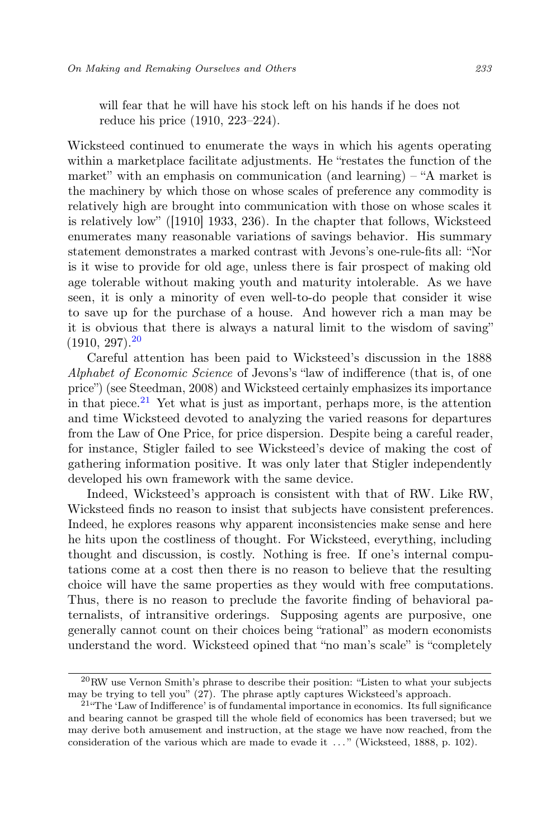will fear that he will have his stock left on his hands if he does not reduce his price (1910, 223–224).

Wicksteed continued to enumerate the ways in which his agents operating within a marketplace facilitate adjustments. He "restates the function of the market" with an emphasis on communication (and learning) – "A market is the machinery by which those on whose scales of preference any commodity is relatively high are brought into communication with those on whose scales it is relatively low" ([1910] 1933, 236). In the chapter that follows, Wicksteed enumerates many reasonable variations of savings behavior. His summary statement demonstrates a marked contrast with Jevons's one-rule-fits all: "Nor is it wise to provide for old age, unless there is fair prospect of making old age tolerable without making youth and maturity intolerable. As we have seen, it is only a minority of even well-to-do people that consider it wise to save up for the purchase of a house. And however rich a man may be it is obvious that there is always a natural limit to the wisdom of saving"  $(1910, 297)$ <sup>[20](#page-12-0)</sup>

Careful attention has been paid to Wicksteed's discussion in the 1888 Alphabet of Economic Science of Jevons's "law of indifference (that is, of one price") (see Steedman, 2008) and Wicksteed certainly emphasizes its importance in that piece.<sup>[21](#page-12-1)</sup> Yet what is just as important, perhaps more, is the attention and time Wicksteed devoted to analyzing the varied reasons for departures from the Law of One Price, for price dispersion. Despite being a careful reader, for instance, Stigler failed to see Wicksteed's device of making the cost of gathering information positive. It was only later that Stigler independently developed his own framework with the same device.

Indeed, Wicksteed's approach is consistent with that of RW. Like RW, Wicksteed finds no reason to insist that subjects have consistent preferences. Indeed, he explores reasons why apparent inconsistencies make sense and here he hits upon the costliness of thought. For Wicksteed, everything, including thought and discussion, is costly. Nothing is free. If one's internal computations come at a cost then there is no reason to believe that the resulting choice will have the same properties as they would with free computations. Thus, there is no reason to preclude the favorite finding of behavioral paternalists, of intransitive orderings. Supposing agents are purposive, one generally cannot count on their choices being "rational" as modern economists understand the word. Wicksteed opined that "no man's scale" is "completely

<span id="page-12-0"></span> $^{20}$ RW use Vernon Smith's phrase to describe their position: "Listen to what your subjects may be trying to tell you" (27). The phrase aptly captures Wicksteed's approach.

<span id="page-12-1"></span> $21^{\circ}$ The 'Law of Indifference' is of fundamental importance in economics. Its full significance and bearing cannot be grasped till the whole field of economics has been traversed; but we may derive both amusement and instruction, at the stage we have now reached, from the consideration of the various which are made to evade it . . . " (Wicksteed, 1888, p. 102).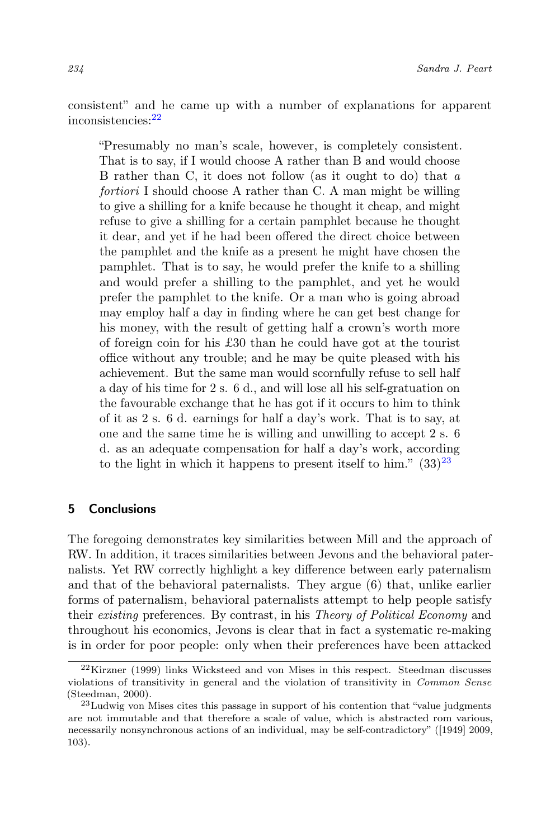consistent" and he came up with a number of explanations for apparent inconsistencies:[22](#page-13-0)

"Presumably no man's scale, however, is completely consistent. That is to say, if I would choose A rather than B and would choose B rather than C, it does not follow (as it ought to do) that a fortiori I should choose A rather than C. A man might be willing to give a shilling for a knife because he thought it cheap, and might refuse to give a shilling for a certain pamphlet because he thought it dear, and yet if he had been offered the direct choice between the pamphlet and the knife as a present he might have chosen the pamphlet. That is to say, he would prefer the knife to a shilling and would prefer a shilling to the pamphlet, and yet he would prefer the pamphlet to the knife. Or a man who is going abroad may employ half a day in finding where he can get best change for his money, with the result of getting half a crown's worth more of foreign coin for his £30 than he could have got at the tourist office without any trouble; and he may be quite pleased with his achievement. But the same man would scornfully refuse to sell half a day of his time for 2 s. 6 d., and will lose all his self-gratuation on the favourable exchange that he has got if it occurs to him to think of it as 2 s. 6 d. earnings for half a day's work. That is to say, at one and the same time he is willing and unwilling to accept 2 s. 6 d. as an adequate compensation for half a day's work, according to the light in which it happens to present itself to him."  $(33)^{23}$  $(33)^{23}$  $(33)^{23}$ 

## 5 Conclusions

The foregoing demonstrates key similarities between Mill and the approach of RW. In addition, it traces similarities between Jevons and the behavioral paternalists. Yet RW correctly highlight a key difference between early paternalism and that of the behavioral paternalists. They argue (6) that, unlike earlier forms of paternalism, behavioral paternalists attempt to help people satisfy their existing preferences. By contrast, in his Theory of Political Economy and throughout his economics, Jevons is clear that in fact a systematic re-making is in order for poor people: only when their preferences have been attacked

<span id="page-13-0"></span><sup>22</sup>Kirzner (1999) links Wicksteed and von Mises in this respect. Steedman discusses violations of transitivity in general and the violation of transitivity in Common Sense (Steedman, 2000).

<span id="page-13-1"></span><sup>23</sup>Ludwig von Mises cites this passage in support of his contention that "value judgments are not immutable and that therefore a scale of value, which is abstracted rom various, necessarily nonsynchronous actions of an individual, may be self-contradictory" ([1949] 2009, 103).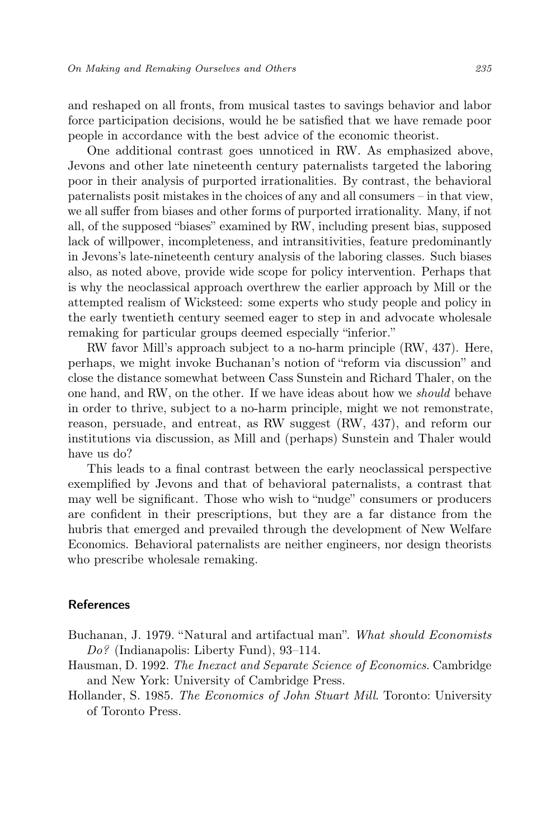and reshaped on all fronts, from musical tastes to savings behavior and labor force participation decisions, would he be satisfied that we have remade poor people in accordance with the best advice of the economic theorist.

One additional contrast goes unnoticed in RW. As emphasized above, Jevons and other late nineteenth century paternalists targeted the laboring poor in their analysis of purported irrationalities. By contrast, the behavioral paternalists posit mistakes in the choices of any and all consumers – in that view, we all suffer from biases and other forms of purported irrationality. Many, if not all, of the supposed "biases" examined by RW, including present bias, supposed lack of willpower, incompleteness, and intransitivities, feature predominantly in Jevons's late-nineteenth century analysis of the laboring classes. Such biases also, as noted above, provide wide scope for policy intervention. Perhaps that is why the neoclassical approach overthrew the earlier approach by Mill or the attempted realism of Wicksteed: some experts who study people and policy in the early twentieth century seemed eager to step in and advocate wholesale remaking for particular groups deemed especially "inferior."

RW favor Mill's approach subject to a no-harm principle (RW, 437). Here, perhaps, we might invoke Buchanan's notion of "reform via discussion" and close the distance somewhat between Cass Sunstein and Richard Thaler, on the one hand, and RW, on the other. If we have ideas about how we should behave in order to thrive, subject to a no-harm principle, might we not remonstrate, reason, persuade, and entreat, as RW suggest (RW, 437), and reform our institutions via discussion, as Mill and (perhaps) Sunstein and Thaler would have us do?

This leads to a final contrast between the early neoclassical perspective exemplified by Jevons and that of behavioral paternalists, a contrast that may well be significant. Those who wish to "nudge" consumers or producers are confident in their prescriptions, but they are a far distance from the hubris that emerged and prevailed through the development of New Welfare Economics. Behavioral paternalists are neither engineers, nor design theorists who prescribe wholesale remaking.

#### References

- Buchanan, J. 1979. "Natural and artifactual man". What should Economists Do? (Indianapolis: Liberty Fund), 93–114.
- Hausman, D. 1992. The Inexact and Separate Science of Economics. Cambridge and New York: University of Cambridge Press.
- Hollander, S. 1985. The Economics of John Stuart Mill. Toronto: University of Toronto Press.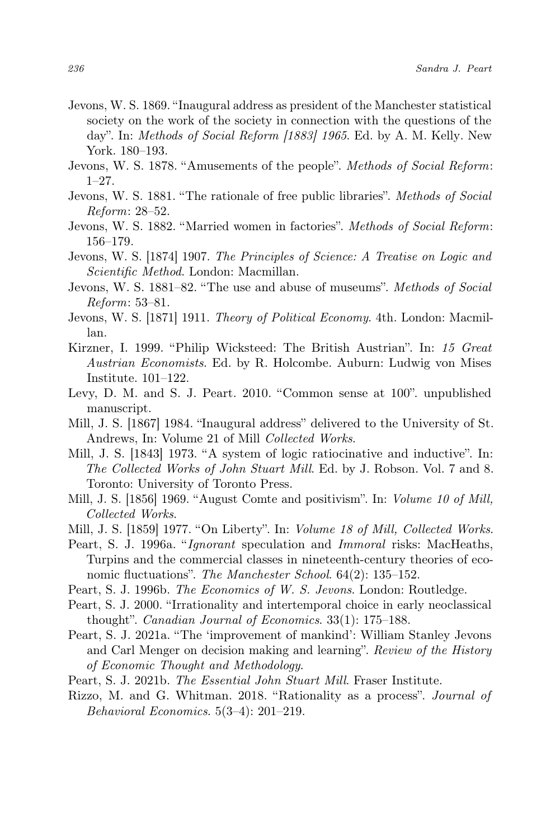- Jevons, W. S. 1869. "Inaugural address as president of the Manchester statistical society on the work of the society in connection with the questions of the day". In: Methods of Social Reform [1883] 1965. Ed. by A. M. Kelly. New York. 180–193.
- Jevons, W. S. 1878. "Amusements of the people". Methods of Social Reform: 1–27.
- Jevons, W. S. 1881. "The rationale of free public libraries". Methods of Social Reform: 28–52.
- Jevons, W. S. 1882. "Married women in factories". Methods of Social Reform: 156–179.
- Jevons, W. S. [1874] 1907. The Principles of Science: A Treatise on Logic and Scientific Method. London: Macmillan.
- Jevons, W. S. 1881–82. "The use and abuse of museums". Methods of Social Reform: 53–81.
- Jevons, W. S. [1871] 1911. Theory of Political Economy. 4th. London: Macmillan.
- Kirzner, I. 1999. "Philip Wicksteed: The British Austrian". In: 15 Great Austrian Economists. Ed. by R. Holcombe. Auburn: Ludwig von Mises Institute. 101–122.
- Levy, D. M. and S. J. Peart. 2010. "Common sense at 100". unpublished manuscript.
- Mill, J. S. [1867] 1984. "Inaugural address" delivered to the University of St. Andrews, In: Volume 21 of Mill Collected Works.
- Mill, J. S. [1843] 1973. "A system of logic ratiocinative and inductive". In: The Collected Works of John Stuart Mill. Ed. by J. Robson. Vol. 7 and 8. Toronto: University of Toronto Press.
- Mill, J. S. [1856] 1969. "August Comte and positivism". In: Volume 10 of Mill, Collected Works.
- Mill, J. S. [1859] 1977. "On Liberty". In: Volume 18 of Mill, Collected Works.
- Peart, S. J. 1996a. "Ignorant speculation and Immoral risks: MacHeaths, Turpins and the commercial classes in nineteenth-century theories of economic fluctuations". The Manchester School. 64(2): 135–152.
- Peart, S. J. 1996b. The Economics of W. S. Jevons. London: Routledge.
- Peart, S. J. 2000. "Irrationality and intertemporal choice in early neoclassical thought". Canadian Journal of Economics. 33(1): 175–188.
- Peart, S. J. 2021a. "The 'improvement of mankind': William Stanley Jevons and Carl Menger on decision making and learning". Review of the History of Economic Thought and Methodology.
- Peart, S. J. 2021b. The Essential John Stuart Mill. Fraser Institute.
- Rizzo, M. and G. Whitman. 2018. "Rationality as a process". Journal of Behavioral Economics. 5(3–4): 201–219.